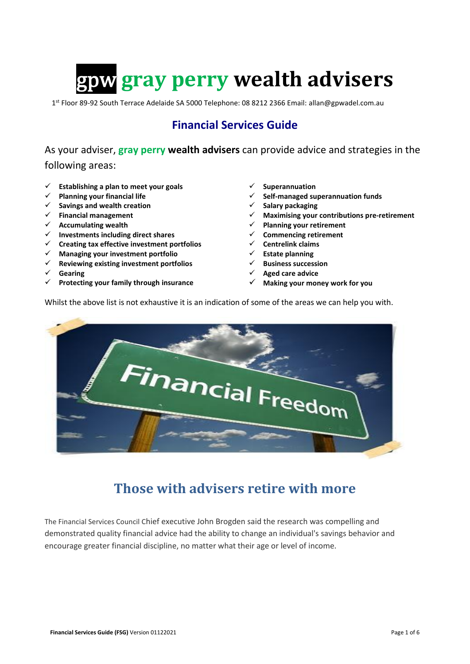# **gray perry wealth advisers**

1<sup>st</sup> Floor 89-92 South Terrace Adelaide SA 5000 Telephone: 08 8212 2366 Email: allan@gpwadel.com.au

### **Financial Services Guide**

As your adviser, **gray perry wealth advisers** can provide advice and strategies in the following areas:

- **Establishing a plan to meet your goals**
- **Planning your financial life**
- **Savings and wealth creation**
- **Financial management**
- **Accumulating wealth**
- **Investments including direct shares**
- **Creating tax effective investment portfolios**
- **Managing your investment portfolio**
- **Reviewing existing investment portfolios**
- **Gearing**
- **Protecting your family through insurance**
- **Superannuation**
- **Self-managed superannuation funds**
- **Salary packaging**
- **Maximising your contributions pre-retirement**
- **Planning your retirement**
- **Commencing retirement**
- **Centrelink claims**
- **Estate planning**
- **Business succession**
- **Aged care advice**
- **Making your money work for you**

Whilst the above list is not exhaustive it is an indication of some of the areas we can help you with.



## **Those with advisers retire with more**

The Financial Services Council Chief executive John Brogden said the research was compelling and demonstrated quality financial advice had the ability to change an individual's savings behavior and encourage greater financial discipline, no matter what their age or level of income.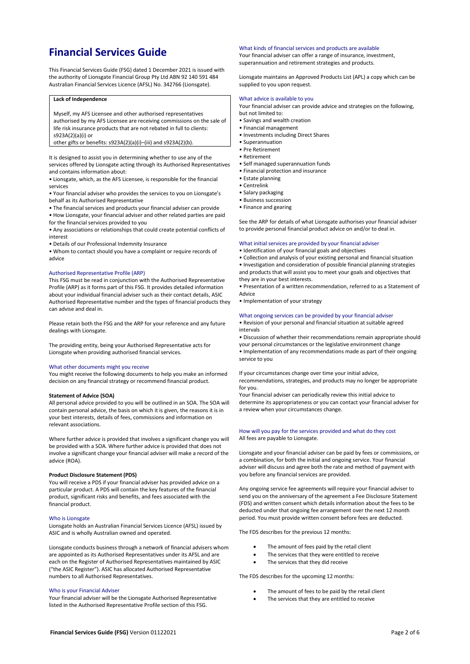### **Financial Services Guide**

This Financial Services Guide (FSG) dated 1 December 2021 is issued with the authority of Lionsgate Financial Group Pty Ltd ABN 92 140 591 484 Australian Financial Services Licence (AFSL) No. 342766 (Lionsgate).

#### **Lack of Independence**

Myself, my AFS Licensee and other authorised representatives authorised by my AFS Licensee are receiving commissions on the sale of life risk insurance products that are not rebated in full to clients: s923A(2)(a)(i) or

other gifts or benefits:  $s923A(2)(a)(i)$ –(iii) and  $s923A(2)(b)$ .

It is designed to assist you in determining whether to use any of the services offered by Lionsgate acting through its Authorised Representatives and contains information about:

• Lionsgate, which, as the AFS Licensee, is responsible for the financial services

• Your financial adviser who provides the services to you on Lionsgate's behalf as its Authorised Representative

• The financial services and products your financial adviser can provide

• How Lionsgate, your financial adviser and other related parties are paid for the financial services provided to you

• Any associations or relationships that could create potential conflicts of interest

• Details of our Professional Indemnity Insurance

• Whom to contact should you have a complaint or require records of advice

#### Authorised Representative Profile (ARP)

This FSG must be read in conjunction with the Authorised Representative Profile (ARP) as it forms part of this FSG. It provides detailed information about your individual financial adviser such as their contact details, ASIC Authorised Representative number and the types of financial products they can advise and deal in.

Please retain both the FSG and the ARP for your reference and any future dealings with Lionsgate.

The providing entity, being your Authorised Representative acts for Lionsgate when providing authorised financial services.

#### What other documents might you receive

You might receive the following documents to help you make an informed decision on any financial strategy or recommend financial product.

#### **Statement of Advice (SOA)**

All personal advice provided to you will be outlined in an SOA. The SOA will contain personal advice, the basis on which it is given, the reasons it is in your best interests, details of fees, commissions and information on relevant associations.

Where further advice is provided that involves a significant change you will be provided with a SOA. Where further advice is provided that does not involve a significant change your financial adviser will make a record of the advice (ROA).

#### **Product Disclosure Statement (PDS)**

You will receive a PDS if your financial adviser has provided advice on a particular product. A PDS will contain the key features of the financial product, significant risks and benefits, and fees associated with the financial product.

#### Who is Lionsgate

Lionsgate holds an Australian Financial Services Licence (AFSL) issued by ASIC and is wholly Australian owned and operated.

Lionsgate conducts business through a network of financial advisers whom are appointed as its Authorised Representatives under its AFSL and are each on the Register of Authorised Representatives maintained by ASIC ("the ASIC Register"). ASIC has allocated Authorised Representative numbers to all Authorised Representatives.

#### Who is your Financial Adviser

Your financial adviser will be the Lionsgate Authorised Representative listed in the Authorised Representative Profile section of this FSG.

#### What kinds of financial services and products are available

Your financial adviser can offer a range of insurance, investment, superannuation and retirement strategies and products.

Lionsgate maintains an Approved Products List (APL) a copy which can be supplied to you upon request.

#### What advice is available to you

Your financial adviser can provide advice and strategies on the following, but not limited to:

- Savings and wealth creation
- Financial management
- Investments including Direct Shares
- Superannuation
- Pre Retirement
- Retirement
- Self managed superannuation funds • Financial protection and insurance
- Estate planning
- Centrelink
- Salary packaging
- Business succession
- Finance and gearing

See the ARP for details of what Lionsgate authorises your financial adviser to provide personal financial product advice on and/or to deal in.

#### What initial services are provided by your financial adviser

- Identification of your financial goals and objectives
- Collection and analysis of your existing personal and financial situation

• Investigation and consideration of possible financial planning strategies and products that will assist you to meet your goals and objectives that they are in your best interests.

• Presentation of a written recommendation, referred to as a Statement of Advice

• Implementation of your strategy

#### What ongoing services can be provided by your financial adviser

• Revision of your personal and financial situation at suitable agreed intervals

• Discussion of whether their recommendations remain appropriate should your personal circumstances or the legislative environment change • Implementation of any recommendations made as part of their ongoing

service to you

If your circumstances change over time your initial advice,

recommendations, strategies, and products may no longer be appropriate for you.

Your financial adviser can periodically review this initial advice to determine its appropriateness or you can contact your financial adviser for a review when your circumstances change.

#### How will you pay for the services provided and what do they cost All fees are payable to Lionsgate.

Lionsgate and your financial adviser can be paid by fees or commissions, or a combination, for both the initial and ongoing service. Your financial adviser will discuss and agree both the rate and method of payment with you before any financial services are provided.

Any ongoing service fee agreements will require your financial adviser to send you on the anniversary of the agreement a Fee Disclosure Statement (FDS) and written consent which details information about the fees to be deducted under that ongoing fee arrangement over the next 12 month period. You must provide written consent before fees are deducted.

The FDS describes for the previous 12 months:

- The amount of fees paid by the retail client
- The services that they were entitled to receive
- The services that they did receive

The FDS describes for the upcoming 12 months:

- The amount of fees to be paid by the retail client
- The services that they are entitled to receive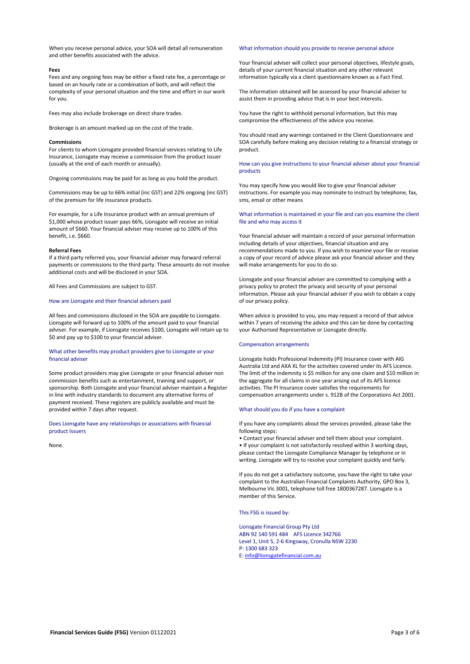When you receive personal advice, your SOA will detail all remuneration and other benefits associated with the advice.

#### **Fees**

Fees and any ongoing fees may be either a fixed rate fee, a percentage or based on an hourly rate or a combination of both, and will reflect the complexity of your personal situation and the time and effort in our work for you.

Fees may also include brokerage on direct share trades.

Brokerage is an amount marked up on the cost of the trade.

#### **Commissions**

For clients to whom Lionsgate provided financial services relating to Life Insurance, Lionsgate may receive a commission from the product issuer (usually at the end of each month or annually).

Ongoing commissions may be paid for as long as you hold the product.

Commissions may be up to 66% initial (inc GST) and 22% ongoing (inc GST) of the premium for life insurance products.

For example, for a Life Insurance product with an annual premium of \$1,000 whose product issuer pays 66%, Lionsgate will receive an initial amount of \$660. Your financial adviser may receive up to 100% of this benefit, i.e. \$660.

#### **Referral Fees**

If a third party referred you, your financial adviser may forward referral payments or commissions to the third party. These amounts do not involve additional costs and will be disclosed in your SOA.

All Fees and Commissions are subject to GST.

#### How are Lionsgate and their financial advisers paid

All fees and commissions disclosed in the SOA are payable to Lionsgate. Lionsgate will forward up to 100% of the amount paid to your financial adviser. For example, if Lionsgate receives \$100, Lionsgate will retain up to \$0 and pay up to \$100 to your financial adviser.

#### What other benefits may product providers give to Lionsgate or your financial adviser

Some product providers may give Lionsgate or your financial adviser non commission benefits such as entertainment, training and support, or sponsorship. Both Lionsgate and your financial adviser maintain a Register in line with industry standards to document any alternative forms of payment received. These registers are publicly available and must be provided within 7 days after request.

Does Lionsgate have any relationships or associations with financial product Issuers

None.

#### What information should you provide to receive personal advice

Your financial adviser will collect your personal objectives, lifestyle goals, details of your current financial situation and any other relevant information typically via a client questionnaire known as a Fact Find.

The information obtained will be assessed by your financial adviser to assist them in providing advice that is in your best interests.

You have the right to withhold personal information, but this may compromise the effectiveness of the advice you receive.

You should read any warnings contained in the Client Questionnaire and SOA carefully before making any decision relating to a financial strategy or product.

How can you give instructions to your financial adviser about your financial products

You may specify how you would like to give your financial adviser instructions. For example you may nominate to instruct by telephone, fax, sms, email or other means

#### What information is maintained in your file and can you examine the client file and who may access it

Your financial adviser will maintain a record of your personal information including details of your objectives, financial situation and any recommendations made to you. If you wish to examine your file or receive a copy of your record of advice please ask your financial adviser and they will make arrangements for you to do so.

Lionsgate and your financial adviser are committed to complying with a privacy policy to protect the privacy and security of your personal information. Please ask your financial adviser if you wish to obtain a copy of our privacy policy.

When advice is provided to you, you may request a record of that advice within 7 years of receiving the advice and this can be done by contacting your Authorised Representative or Lionsgate directly.

#### Compensation arrangements

Lionsgate holds Professional Indemnity (PI) Insurance cover with AIG Australia Ltd and AXA XL for the activities covered under its AFS Licence. The limit of the indemnity is \$5 million for any one claim and \$10 million in the aggregate for all claims in one year arising out of its AFS licence activities. The PI Insurance cover satisfies the requirements for compensation arrangements under s. 912B of the Corporations Act 2001.

#### What should you do if you have a complaint

If you have any complaints about the services provided, please take the following steps:

• Contact your financial adviser and tell them about your complaint. • If your complaint is not satisfactorily resolved within 3 working days, please contact the Lionsgate Compliance Manager by telephone or in writing. Lionsgate will try to resolve your complaint quickly and fairly.

If you do not get a satisfactory outcome, you have the right to take your complaint to the Australian Financial Complaints Authority, GPO Box 3, Melbourne Vic 3001, telephone toll free 1800367287. Lionsgate is a member of this Service.

This FSG is issued by:

Lionsgate Financial Group Pty Ltd ABN 92 140 591 484 AFS Licence 342766 Level 1, Unit 5, 2-6 Kingsway, Cronulla NSW 2230 P: 1300 683 323 E[: info@lionsgatefinancial.com.au](mailto:info@lionsgatefinancial.com.au)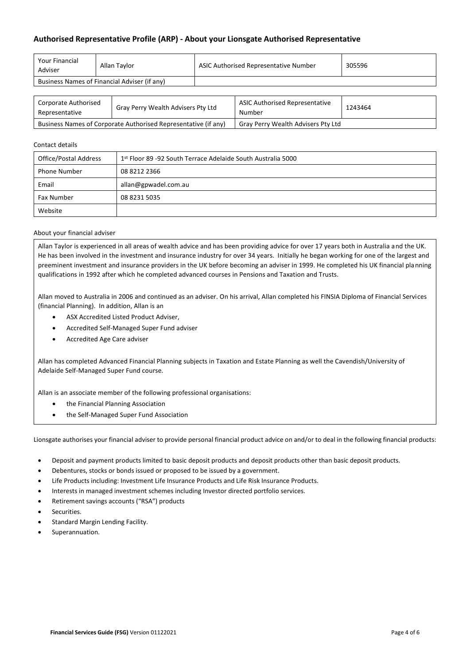#### **Authorised Representative Profile (ARP) - About your Lionsgate Authorised Representative**

| <b>Your Financial</b><br>Adviser             | Allan Tavlor | ASIC Authorised Representative Number | 305596 |
|----------------------------------------------|--------------|---------------------------------------|--------|
| Business Names of Financial Adviser (if any) |              |                                       |        |

| Corporate Authorised<br>Representative                         | Gray Perry Wealth Advisers Pty Ltd | <b>ASIC Authorised Representative</b><br>Number | 1243464 |
|----------------------------------------------------------------|------------------------------------|-------------------------------------------------|---------|
| Business Names of Corporate Authorised Representative (if any) |                                    | Gray Perry Wealth Advisers Pty Ltd              |         |

#### Contact details

| Office/Postal Address | 1st Floor 89 -92 South Terrace Adelaide South Australia 5000 |
|-----------------------|--------------------------------------------------------------|
| <b>Phone Number</b>   | 08 8212 2366                                                 |
| Email                 | allan@gpwadel.com.au                                         |
| <b>Fax Number</b>     | 08 8231 5035                                                 |
| Website               |                                                              |

#### About your financial adviser

Allan Taylor is experienced in all areas of wealth advice and has been providing advice for over 17 years both in Australia and the UK. He has been involved in the investment and insurance industry for over 34 years. Initially he began working for one of the largest and preeminent investment and insurance providers in the UK before becoming an adviser in 1999. He completed his UK financial planning qualifications in 1992 after which he completed advanced courses in Pensions and Taxation and Trusts.

Allan moved to Australia in 2006 and continued as an adviser. On his arrival, Allan completed his FINSIA Diploma of Financial Services (financial Planning). In addition, Allan is an

- ASX Accredited Listed Product Adviser,
- Accredited Self-Managed Super Fund adviser
- Accredited Age Care adviser

Allan has completed Advanced Financial Planning subjects in Taxation and Estate Planning as well the Cavendish/University of Adelaide Self-Managed Super Fund course.

Allan is an associate member of the following professional organisations:

- the Financial Planning Association
- the Self-Managed Super Fund Association

Lionsgate authorises your financial adviser to provide personal financial product advice on and/or to deal in the following financial products:

- Deposit and payment products limited to basic deposit products and deposit products other than basic deposit products.
- Debentures, stocks or bonds issued or proposed to be issued by a government.
- Life Products including: Investment Life Insurance Products and Life Risk Insurance Products.
- Interests in managed investment schemes including Investor directed portfolio services.
- Retirement savings accounts ("RSA") products
- Securities.
- Standard Margin Lending Facility.
- Superannuation.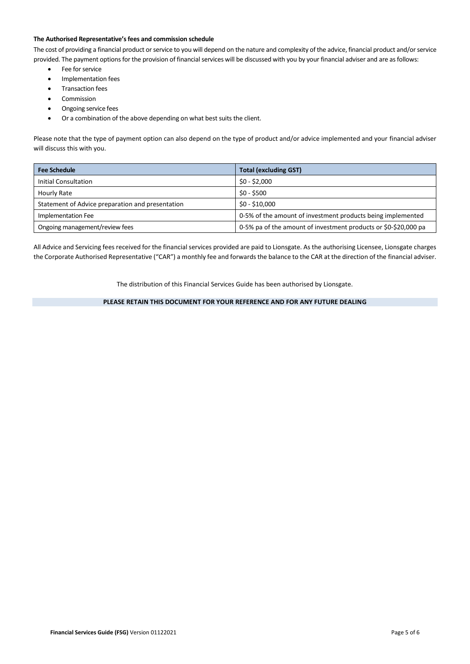#### **The Authorised Representative's fees and commission schedule**

The cost of providing a financial product or service to you will depend on the nature and complexity of the advice, financial product and/or service provided. The payment options for the provision of financial services will be discussed with you by your financial adviser and are as follows:

- Fee for service
- Implementation fees
- **•** Transaction fees
- Commission
- Ongoing service fees
- Or a combination of the above depending on what best suits the client.

Please note that the type of payment option can also depend on the type of product and/or advice implemented and your financial adviser will discuss this with you.

| <b>Fee Schedule</b>                              | <b>Total (excluding GST)</b>                                    |  |
|--------------------------------------------------|-----------------------------------------------------------------|--|
| <b>Initial Consultation</b>                      | $$0 - $2,000$                                                   |  |
| Hourly Rate                                      | $$0 - $500$                                                     |  |
| Statement of Advice preparation and presentation | $$0 - $10,000$                                                  |  |
| Implementation Fee                               | 0-5% of the amount of investment products being implemented     |  |
| Ongoing management/review fees                   | 0-5% pa of the amount of investment products or \$0-\$20,000 pa |  |

All Advice and Servicing fees received for the financial services provided are paid to Lionsgate. As the authorising Licensee, Lionsgate charges the Corporate Authorised Representative ("CAR") a monthly fee and forwards the balance to the CAR at the direction of the financial adviser.

The distribution of this Financial Services Guide has been authorised by Lionsgate.

**PLEASE RETAIN THIS DOCUMENT FOR YOUR REFERENCE AND FOR ANY FUTURE DEALING**